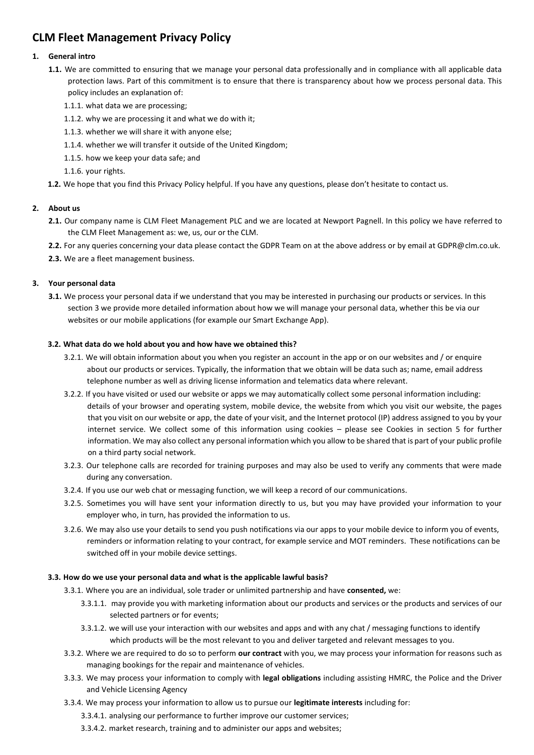# **CLM Fleet Management Privacy Policy**

# **1. General intro**

- **1.1.** We are committed to ensuring that we manage your personal data professionally and in compliance with all applicable data protection laws. Part of this commitment is to ensure that there is transparency about how we process personal data. This policy includes an explanation of:
	- 1.1.1. what data we are processing;
	- 1.1.2. why we are processing it and what we do with it;
	- 1.1.3. whether we will share it with anyone else;
	- 1.1.4. whether we will transfer it outside of the United Kingdom;
	- 1.1.5. how we keep your data safe; and
	- 1.1.6. your rights.
- **1.2.** We hope that you find this Privacy Policy helpful. If you have any questions, please don't hesitate to contact us.

# **2. About us**

- **2.1.** Our company name is CLM Fleet Management PLC and we are located at Newport Pagnell. In this policy we have referred to the CLM Fleet Management as: we, us, our or the CLM.
- **2.2.** For any queries concerning your data please contact the GDPR Team on at the above address or by email at GDPR@clm.co.uk.
- **2.3.** We are a fleet management business.

# **3. Your personal data**

**3.1.** We process your personal data if we understand that you may be interested in purchasing our products or services. In this section 3 we provide more detailed information about how we will manage your personal data, whether this be via our websites or our mobile applications (for example our Smart Exchange App).

# **3.2. What data do we hold about you and how have we obtained this?**

- 3.2.1. We will obtain information about you when you register an account in the app or on our websites and / or enquire about our products or services. Typically, the information that we obtain will be data such as; name, email address telephone number as well as driving license information and telematics data where relevant.
- 3.2.2. If you have visited or used our website or apps we may automatically collect some personal information including: details of your browser and operating system, mobile device, the website from which you visit our website, the pages that you visit on our website or app, the date of your visit, and the Internet protocol (IP) address assigned to you by your internet service. We collect some of this information using cookies – please see Cookies in section 5 for further information. We may also collect any personal information which you allow to be shared that is part of your public profile on a third party social network.
- 3.2.3. Our telephone calls are recorded for training purposes and may also be used to verify any comments that were made during any conversation.
- 3.2.4. If you use our web chat or messaging function, we will keep a record of our communications.
- 3.2.5. Sometimes you will have sent your information directly to us, but you may have provided your information to your employer who, in turn, has provided the information to us.
- 3.2.6. We may also use your details to send you push notifications via our apps to your mobile device to inform you of events, reminders or information relating to your contract, for example service and MOT reminders. These notifications can be switched off in your mobile device settings.

# **3.3. How do we use your personal data and what is the applicable lawful basis?**

- 3.3.1. Where you are an individual, sole trader or unlimited partnership and have **consented,** we:
	- 3.3.1.1. may provide you with marketing information about our products and services or the products and services of our selected partners or for events;
	- 3.3.1.2. we will use your interaction with our websites and apps and with any chat / messaging functions to identify which products will be the most relevant to you and deliver targeted and relevant messages to you.
- 3.3.2. Where we are required to do so to perform **our contract** with you, we may process your information for reasons such as managing bookings for the repair and maintenance of vehicles.
- 3.3.3. We may process your information to comply with **legal obligations** including assisting HMRC, the Police and the Driver and Vehicle Licensing Agency
- 3.3.4. We may process your information to allow us to pursue our **legitimate interests** including for:
	- 3.3.4.1. analysing our performance to further improve our customer services;
	- 3.3.4.2. market research, training and to administer our apps and websites;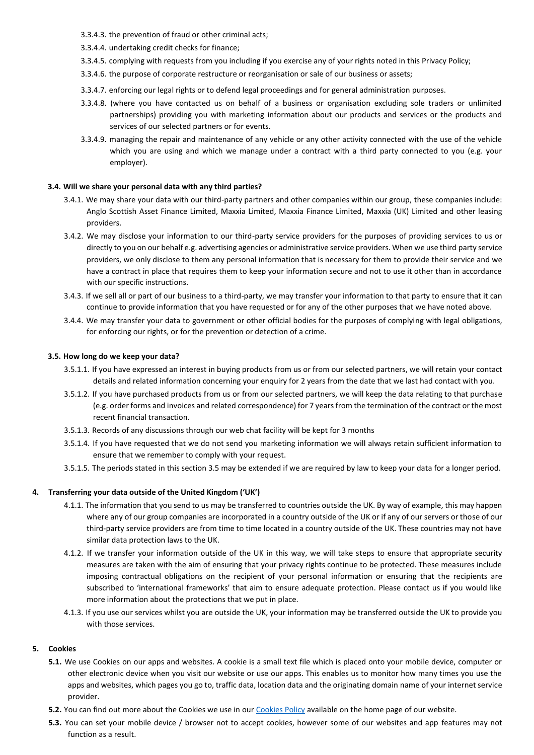- 3.3.4.3. the prevention of fraud or other criminal acts;
- 3.3.4.4. undertaking credit checks for finance;
- 3.3.4.5. complying with requests from you including if you exercise any of your rights noted in this Privacy Policy;
- 3.3.4.6. the purpose of corporate restructure or reorganisation or sale of our business or assets;
- 3.3.4.7. enforcing our legal rights or to defend legal proceedings and for general administration purposes.
- 3.3.4.8. (where you have contacted us on behalf of a business or organisation excluding sole traders or unlimited partnerships) providing you with marketing information about our products and services or the products and services of our selected partners or for events.
- 3.3.4.9. managing the repair and maintenance of any vehicle or any other activity connected with the use of the vehicle which you are using and which we manage under a contract with a third party connected to you (e.g. your employer).

## **3.4. Will we share your personal data with any third parties?**

- 3.4.1. We may share your data with our third-party partners and other companies within our group, these companies include: Anglo Scottish Asset Finance Limited, Maxxia Limited, Maxxia Finance Limited, Maxxia (UK) Limited and other leasing providers.
- 3.4.2. We may disclose your information to our third-party service providers for the purposes of providing services to us or directly to you on our behalf e.g. advertising agencies or administrative service providers. When we use third party service providers, we only disclose to them any personal information that is necessary for them to provide their service and we have a contract in place that requires them to keep your information secure and not to use it other than in accordance with our specific instructions.
- 3.4.3. If we sell all or part of our business to a third-party, we may transfer your information to that party to ensure that it can continue to provide information that you have requested or for any of the other purposes that we have noted above.
- 3.4.4. We may transfer your data to government or other official bodies for the purposes of complying with legal obligations, for enforcing our rights, or for the prevention or detection of a crime.

#### **3.5. How long do we keep your data?**

- 3.5.1.1. If you have expressed an interest in buying products from us or from our selected partners, we will retain your contact details and related information concerning your enquiry for 2 years from the date that we last had contact with you.
- 3.5.1.2. If you have purchased products from us or from our selected partners, we will keep the data relating to that purchase (e.g. order forms and invoices and related correspondence) for 7 years from the termination of the contract or the most recent financial transaction.
- 3.5.1.3. Records of any discussions through our web chat facility will be kept for 3 months
- 3.5.1.4. If you have requested that we do not send you marketing information we will always retain sufficient information to ensure that we remember to comply with your request.
- 3.5.1.5. The periods stated in this section 3.5 may be extended if we are required by law to keep your data for a longer period.

# **4. Transferring your data outside of the United Kingdom ('UK')**

- 4.1.1. The information that you send to us may be transferred to countries outside the UK. By way of example, this may happen where any of our group companies are incorporated in a country outside of the UK or if any of our servers or those of our third-party service providers are from time to time located in a country outside of the UK. These countries may not have similar data protection laws to the UK.
- 4.1.2. If we transfer your information outside of the UK in this way, we will take steps to ensure that appropriate security measures are taken with the aim of ensuring that your privacy rights continue to be protected. These measures include imposing contractual obligations on the recipient of your personal information or ensuring that the recipients are subscribed to 'international frameworks' that aim to ensure adequate protection. Please contact us if you would like more information about the protections that we put in place.
- 4.1.3. If you use our services whilst you are outside the UK, your information may be transferred outside the UK to provide you with those services.

#### **5. Cookies**

- **5.1.** We use Cookies on our apps and websites. A cookie is a small text file which is placed onto your mobile device, computer or other electronic device when you visit our website or use our apps. This enables us to monitor how many times you use the apps and websites, which pages you go to, traffic data, location data and the originating domain name of your internet service provider.
- **5.2.** You can find out more about the Cookies we use in our [Cookies Policy](https://www.clm.co.uk/cookie-policy/) available on the home page of our website.
- **5.3.** You can set your mobile device / browser not to accept cookies, however some of our websites and app features may not function as a result.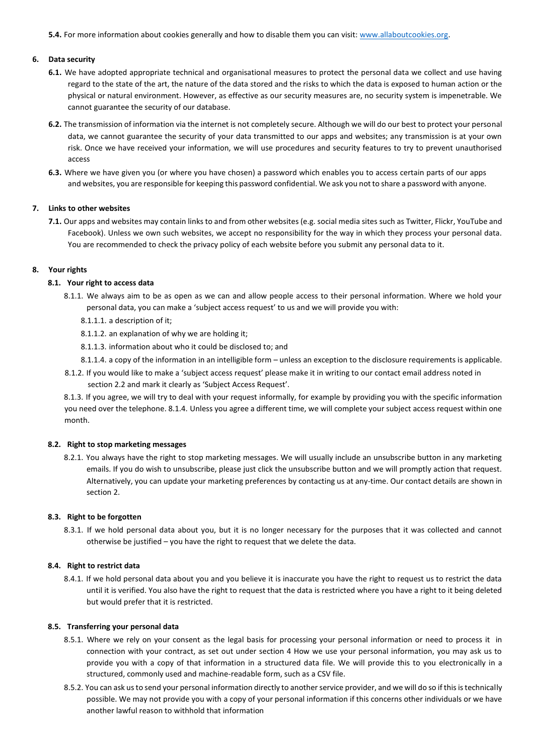**5.4.** For more information about cookies generally and how to disable them you can visit[:](http://www.allaboutcookies.org/) <www.allaboutcookies.org>[.](http://www.allaboutcookies.org/)

## **6. Data security**

- **6.1.** We have adopted appropriate technical and organisational measures to protect the personal data we collect and use having regard to the state of the art, the nature of the data stored and the risks to which the data is exposed to human action or the physical or natural environment. However, as effective as our security measures are, no security system is impenetrable. We cannot guarantee the security of our database.
- **6.2.** The transmission of information via the internet is not completely secure. Although we will do our best to protect your personal data, we cannot guarantee the security of your data transmitted to our apps and websites; any transmission is at your own risk. Once we have received your information, we will use procedures and security features to try to prevent unauthorised access
- **6.3.** Where we have given you (or where you have chosen) a password which enables you to access certain parts of our apps and websites, you are responsible for keeping this password confidential. We ask you not to share a password with anyone.

## **7. Links to other websites**

**7.1.** Our apps and websites may contain links to and from other websites (e.g. social media sites such as Twitter, Flickr, YouTube and Facebook). Unless we own such websites, we accept no responsibility for the way in which they process your personal data. You are recommended to check the privacy policy of each website before you submit any personal data to it.

## **8. Your rights**

# **8.1. Your right to access data**

- 8.1.1. We always aim to be as open as we can and allow people access to their personal information. Where we hold your personal data, you can make a 'subject access request' to us and we will provide you with:
	- 8.1.1.1. a description of it;
	- 8.1.1.2. an explanation of why we are holding it;
	- 8.1.1.3. information about who it could be disclosed to; and
	- 8.1.1.4. a copy of the information in an intelligible form unless an exception to the disclosure requirements is applicable.
- 8.1.2. If you would like to make a 'subject access request' please make it in writing to our contact email address noted in section 2.2 and mark it clearly as 'Subject Access Request'.

8.1.3. If you agree, we will try to deal with your request informally, for example by providing you with the specific information you need over the telephone. 8.1.4. Unless you agree a different time, we will complete your subject access request within one month.

#### **8.2. Right to stop marketing messages**

8.2.1. You always have the right to stop marketing messages. We will usually include an unsubscribe button in any marketing emails. If you do wish to unsubscribe, please just click the unsubscribe button and we will promptly action that request. Alternatively, you can update your marketing preferences by contacting us at any-time. Our contact details are shown in section 2.

### **8.3. Right to be forgotten**

8.3.1. If we hold personal data about you, but it is no longer necessary for the purposes that it was collected and cannot otherwise be justified – you have the right to request that we delete the data.

### **8.4. Right to restrict data**

8.4.1. If we hold personal data about you and you believe it is inaccurate you have the right to request us to restrict the data until it is verified. You also have the right to request that the data is restricted where you have a right to it being deleted but would prefer that it is restricted.

### **8.5. Transferring your personal data**

- 8.5.1. Where we rely on your consent as the legal basis for processing your personal information or need to process it in connection with your contract, as set out under section 4 How we use your personal information, you may ask us to provide you with a copy of that information in a structured data file. We will provide this to you electronically in a structured, commonly used and machine-readable form, such as a CSV file.
- 8.5.2. You can ask us to send your personal information directly to another service provider, and we will do so if this is technically possible. We may not provide you with a copy of your personal information if this concerns other individuals or we have another lawful reason to withhold that information